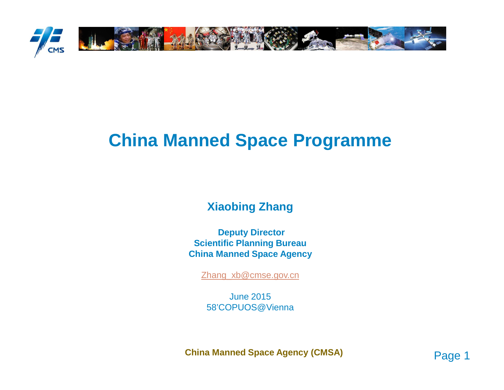

# **China Manned Space Programme**

### **Xiaobing Zhang**

**Deputy Director Scientific Planning BureauChina Manned Space Agency**

Zhang\_xb@cmse.gov.cn

June 201558'COPUOS@Vienna

**China Manned Space Agency (CMSA)**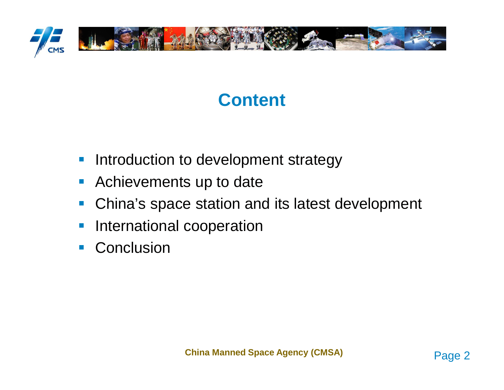

# **Content**

- $\mathcal{L}_{\mathcal{A}}$ Introduction to development strategy
- $\mathcal{L}_{\mathcal{A}}$ Achievements up to date
- $\mathcal{L}_{\mathcal{A}}$ China's space station and its latest development
- $\mathbb{R}^3$ International cooperation
- $\mathcal{L}_{\mathcal{A}}$ **Conclusion**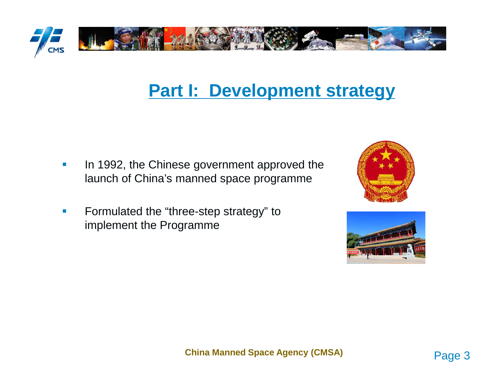

## **Part I: Development strategy**

- $\mathcal{L}_{\mathcal{A}}$  In 1992, the Chinese government approved the launch of China's manned space programme
- $\mathcal{A}$  Formulated the "three-step strategy" to implement the Programme



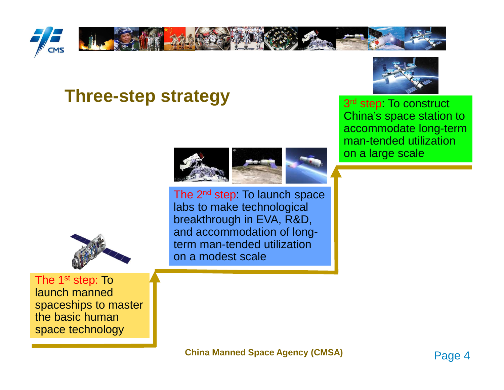

## **Three-step strategy**



3<sup>rd</sup> step. To construct China's space station to accommodate long-term man-tended utilization on a large scale



The 2<sup>nd</sup> step: To launch space labs to make technological breakthrough in EVA, R&D, and accommodation of longterm man-tended utilization on a modest scale



The 1<sup>st</sup> step: To launch manned spaceships to master the basic human space technology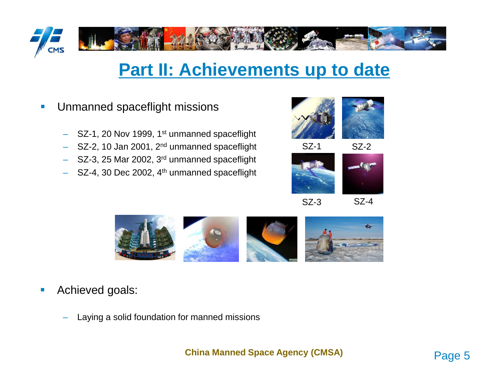

## **Part II: Achievements up to date**

- $\mathcal{L}$  Unmanned spaceflight missions
	- –SZ-1, 20 Nov 1999, 1<sup>st</sup> unmanned spaceflight
	- –SZ-2, 10 Jan 2001, 2<sup>nd</sup> unmanned spaceflight
	- –SZ-3, 25 Mar 2002, 3<sup>rd</sup> unmanned spaceflight
	- –SZ-4, 30 Dec 2002, 4<sup>th</sup> unmanned spaceflight



SZ-1

SZ-2





SZ-3

SZ-4



- $\mathcal{L}_{\mathcal{A}}$  Achieved goals:
	- Laying a solid foundation for manned missions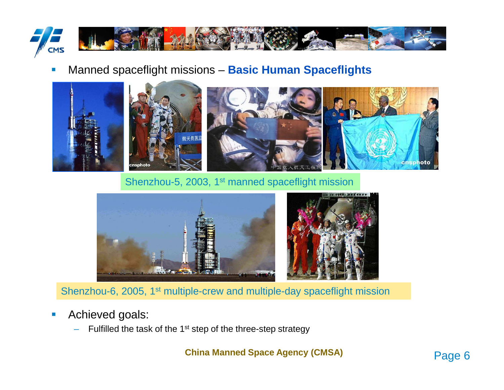

#### П Manned spaceflight missions – **Basic Human Spaceflights**



Shenzhou-5, 2003, 1<sup>st</sup> manned spaceflight mission



Shenzhou-6, 2005, 1<sup>st</sup> multiple-crew and multiple-day spaceflight mission

- Achieved goals:
	- Fulfilled the task of the 1<sup>st</sup> step of the three-step strategy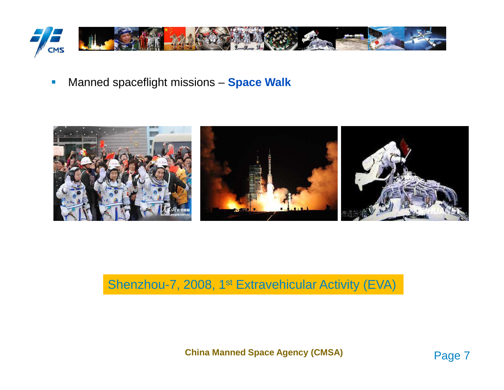

 $\mathcal{L}_{\mathcal{A}}$ Manned spaceflight missions – **Space Walk**



## Shenzhou-7, 2008, 1<sup>st</sup> Extravehicular Activity (EVA)

**China Manned Space Agency (CMSA)**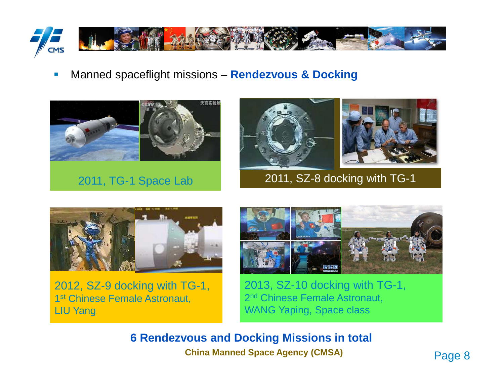

Manned spaceflight missions – **Rendezvous & Docking**



2011, TG-1 Space Lab





2011, SZ-8 docking with TG-1



2012, SZ-9 docking with TG-1, 1<sup>st</sup> Chinese Female Astronaut, LIU Yang



2013, SZ-10 docking with TG-1, 2<sup>nd</sup> Chinese Female Astronaut, WANG Yaping, Space class

**China Manned Space Agency (CMSA)6 Rendezvous and Docking Missions in total**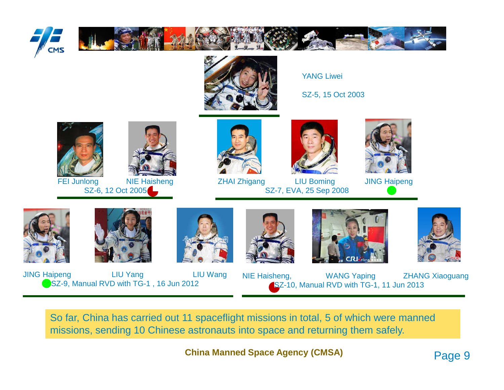





YANG Liwei

SZ-5, 15 Oct 2003



FEI Junlong NIE Haisheng SZ-6, 12 Oct 2005





ZHAI Zhigang LIU Boming JING Haipeng SZ-7, EVA, 25 Sep 2008







JING Haipeng LIU Yang LIU WangSZ-9, Manual RVD with TG-1, 16 Jun 2012









NIE Haisheng, WANG Yaping ZHANG XiaoguangSZ-10, Manual RVD with TG-1, 11 Jun 2013

So far, China has carried out 11 spaceflight missions in total, 5 of which were manned missions, sending 10 Chinese astronauts into space and returning them safely.

Page 9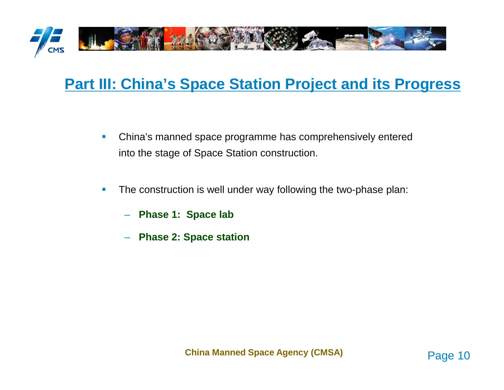

## **Part III: China's Space Station Project and its Progress**

- $\mathcal{L}_{\mathcal{A}}$  China's manned space programme has comprehensively entered into the stage of Space Station construction.
- $\mathcal{C}$  The construction is well under way following the two-phase plan:
	- **Phase 1: Space lab**
	- –**Phase 2: Space station**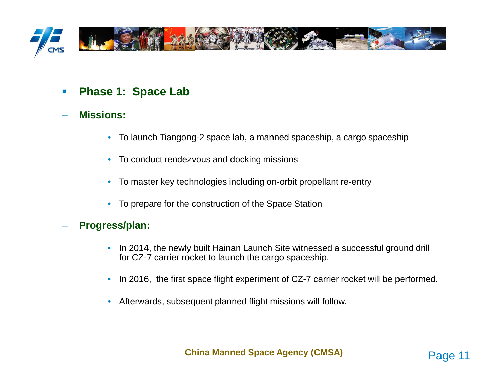

- $\mathcal{L}_{\mathcal{A}}$ **Phase 1: Space Lab**
- **Missions:**
	- •To launch Tiangong-2 space lab, a manned spaceship, a cargo spaceship
	- $\bullet$ To conduct rendezvous and docking missions
	- To master key technologies including on-orbit propellant re-entry
	- To prepare for the construction of the Space Station

#### **Progress/plan:**

- $\bullet$  In 2014, the newly built Hainan Launch Site witnessed a successful ground drill for CZ-7 carrier rocket to launch the cargo spaceship.
- $\bullet$ In 2016, the first space flight experiment of CZ-7 carrier rocket will be performed.
- •Afterwards, subsequent planned flight missions will follow.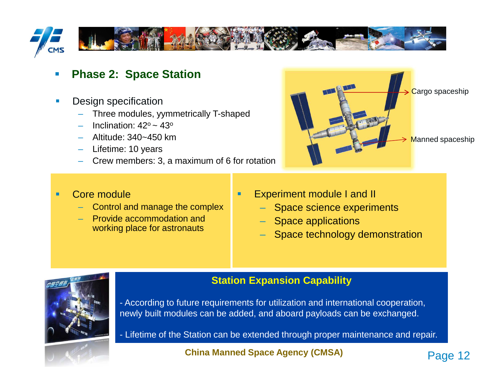

 $\blacksquare$ 

### **Phase 2: Space Station**

- $\blacksquare$  Design specification
	- $-$  Three modules, yymmetrically T-shaped
	- Inclination:  $42^\circ \approx 43^\circ$
	- Altitude: 340~450 km
	- Lifetime: 10 years
	- Crew members: 3, a maximum of 6 for rotation



- ٠ Core module
	- Control and manage the complex
	- Provide accommodation and working place for astronauts
- Experiment module I and II –
	- Space science experiments
	- Space applications
	- Space technology demonstration



- **Station Expansion Capability**
- According to future requirements for utilization and international cooperation, newly built modules can be added, and aboard payloads can be exchanged.
- Lifetime of the Station can be extended through proper maintenance and repair.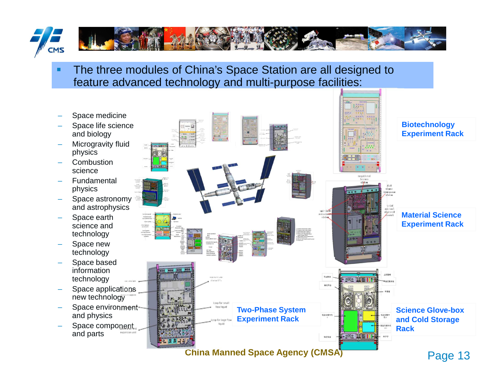

п The three modules of China's Space Station are all designed to feature advanced technology and multi-purpose facilities:

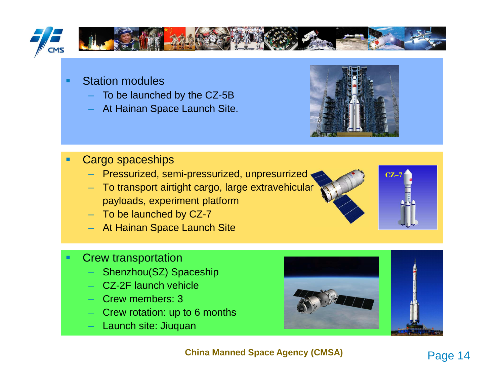

- Station modules
	- To be launched by the CZ-5B
	- At Hainan Space Launch Site.



- П Cargo spaceships
	- Pressurized, semi-pressurized, unpresurrized
	- To transport airtight cargo, large extravehicular payloads, experiment platform
	- To be launched by CZ-7
	- At Hainan Space Launch Site
- Crew transportation
	- $-$  Shenzhou(SZ) Spaceship
	- CZ-2F launch vehicle
	- Crew members: 3
	- Crew rotation: up to 6 months
	- Launch site: Jiuquan



**China Manned Space Agency (CMSA)**



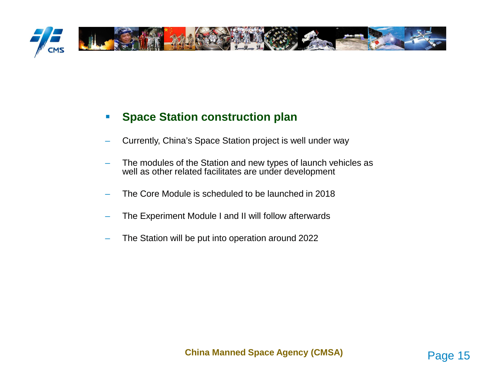

#### $\mathbf{r}$ **Space Station construction plan**

- –Currently, China's Space Station project is well under way
- The modules of the Station and new types of launch vehicles as well as other related facilitates are under development
- The Core Module is scheduled to be launched in 2018
- –The Experiment Module I and II will follow afterwards
- –The Station will be put into operation around 2022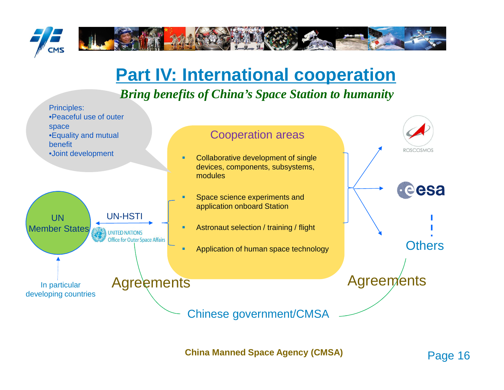

## **Part IV: International cooperation**

## *Bring benefits of China's Space Station to humanity*

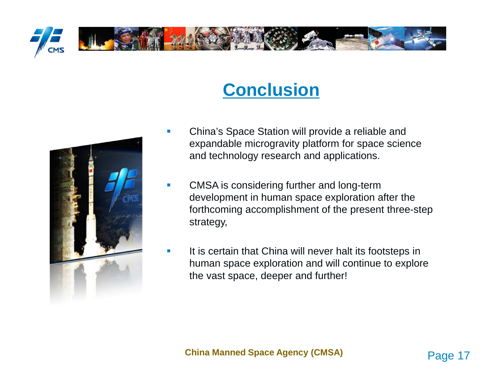

# **Conclusion**



- П China's Space Station will provide a reliable and expandable microgravity platform for space science and technology research and applications.
- CMSA is considering further and long-term development in human space exploration after the forthcoming accomplishment of the present three-step strategy,
- П It is certain that China will never halt its footsteps in human space exploration and will continue to explore the vast space, deeper and further!